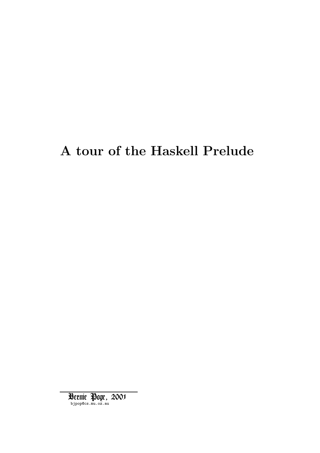# A tour of the Haskell Prelude

bjpop@cs.mu.oz.au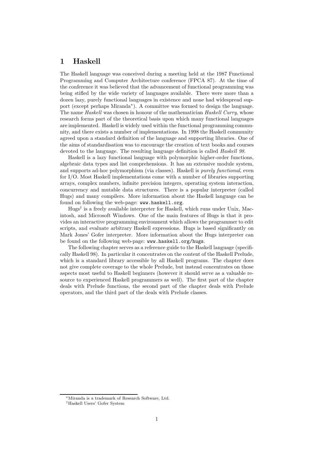#### 1 Haskell

The Haskell language was conceived during a meeting held at the 1987 Functional Programming and Computer Architecture conference (FPCA 87). At the time of the conference it was believed that the advancement of functional programming was being stifled by the wide variety of languages available. There were more than a dozen lazy, purely functional languages in existence and none had widespread support (except perhaps Miranda<sup>∗</sup> ). A committee was formed to design the language. The name Haskell was chosen in honour of the mathematician Haskell Curry, whose research forms part of the theoretical basis upon which many functional languages are implemented. Haskell is widely used within the functional programming community, and there exists a number of implementations. In 1998 the Haskell community agreed upon a standard definition of the language and supporting libraries. One of the aims of standardisation was to encourage the creation of text books and courses devoted to the language. The resulting language definition is called *Haskell 98*.

Haskell is a lazy functional language with polymorphic higher-order functions, algebraic data types and list comprehensions. It has an extensive module system, and supports ad-hoc polymorphism (via classes). Haskell is purely functional, even for I/O. Most Haskell implementations come with a number of libraries supporting arrays, complex numbers, infinite precision integers, operating system interaction, concurrency and mutable data structures. There is a popular interpreter (called Hugs) and many compilers. More information about the Haskell language can be found on following the web-page: www.haskell.org.

Hugs† is a freely available interpreter for Haskell, which runs under Unix, Macintosh, and Microsoft Windows. One of the main features of Hugs is that it provides an interactive programming environment which allows the programmer to edit scripts, and evaluate arbitrary Haskell expressions. Hugs is based significantly on Mark Jones' Gofer interpreter. More information about the Hugs interpreter can be found on the following web-page: www.haskell.org/hugs.

The following chapter serves as a reference guide to the Haskell language (specifically Haskell 98). In particular it concentrates on the content of the Haskell Prelude, which is a standard library accessible by all Haskell programs. The chapter does not give complete coverage to the whole Prelude, but instead concentrates on those aspects most useful to Haskell beginners (however it should serve as a valuable resource to experienced Haskell programmers as well). The first part of the chapter deals with Prelude functions, the second part of the chapter deals with Prelude operators, and the third part of the deals with Prelude classes.

<sup>∗</sup>Miranda is a trademark of Research Software, Ltd.

<sup>†</sup>Haskell Users' Gofer System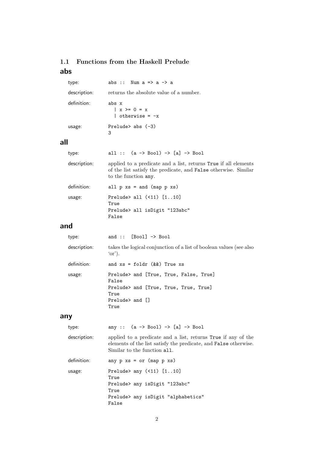### 1.1 Functions from the Haskell Prelude abs

| type:        | abs :: Num $a \Rightarrow a \Rightarrow a$         |
|--------------|----------------------------------------------------|
| description: | returns the absolute value of a number.            |
| definition:  | abs x<br>$x > = 0 = x$<br>$\vert$ otherwise = $-x$ |
| usage:       | Prelude abs $(-3)$<br>3                            |

### all

| all :: $(a \rightarrow Bool) \rightarrow [a] \rightarrow Bool$                                                                                             |
|------------------------------------------------------------------------------------------------------------------------------------------------------------|
| applied to a predicate and a list, returns True if all elements<br>of the list satisfy the predicate, and False otherwise. Similar<br>to the function any. |
| all $p$ $xs =$ and (map $p$ $xs$ )                                                                                                                         |
| Prelude> all $(51)$ $[110]$<br>True<br>Prelude> all isDigit "123abc"<br>False                                                                              |
|                                                                                                                                                            |

### and

| type:        | and :: $[Bool] \rightarrow Bool$                                                |
|--------------|---------------------------------------------------------------------------------|
| description: | takes the logical conjunction of a list of boolean values (see also<br>$'or$ ). |
| definition:  | and $xs = foldr$ ( $\&\&$ ) True $xs$                                           |
| usage:       | Prelude> and [True, True, False, True]<br>False                                 |
|              | Prelude> and [True, True, True, True]<br>True                                   |
|              | $Prelude >$ and $\Box$<br>True                                                  |

## any

| type:        | any :: $(a \rightarrow Bool) \rightarrow [a] \rightarrow Bool$                                                                                                           |
|--------------|--------------------------------------------------------------------------------------------------------------------------------------------------------------------------|
| description: | applied to a predicate and a list, returns True if any of the<br>elements of the list satisfy the predicate, and <b>False</b> otherwise.<br>Similar to the function all. |
| definition:  | any $p$ xs = or (map $p$ xs)                                                                                                                                             |
| usage:       | Prelude any $(511)$ $[110]$<br>True<br>Prelude> any isDigit "123abc"<br>True                                                                                             |
|              | Prelude> any isDigit "alphabetics"<br>False                                                                                                                              |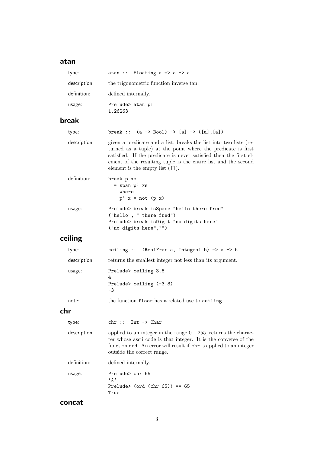### atan

| type:        |                          | atan :: Floating $a \Rightarrow a \Rightarrow a$                                                                                                                                                                                                                                                                                |
|--------------|--------------------------|---------------------------------------------------------------------------------------------------------------------------------------------------------------------------------------------------------------------------------------------------------------------------------------------------------------------------------|
| description: |                          | the trigonometric function inverse tan.                                                                                                                                                                                                                                                                                         |
| definition:  |                          | defined internally.                                                                                                                                                                                                                                                                                                             |
| usage:       | 1.26263                  | Prelude> atan pi                                                                                                                                                                                                                                                                                                                |
| break        |                          |                                                                                                                                                                                                                                                                                                                                 |
| type:        |                          | break :: $(a \rightarrow Bool) \rightarrow [a] \rightarrow ([a], [a])$                                                                                                                                                                                                                                                          |
| description: |                          | given a predicate and a list, breaks the list into two lists (re-<br>turned as a tuple) at the point where the predicate is first<br>satisfied. If the predicate is never satisfied then the first el-<br>ement of the resulting tuple is the entire list and the second<br>element is the empty list $(\lceil \cdot \rceil)$ . |
| definition:  | break p xs               | $=$ span $p'$ xs<br>where<br>$p'$ x = not (p x)                                                                                                                                                                                                                                                                                 |
| usage:       |                          | Prelude> break isSpace "hello there fred"<br>("hello", " there fred")<br>Prelude> break isDigit "no digits here"<br>("no digits here", "")                                                                                                                                                                                      |
| ceiling      |                          |                                                                                                                                                                                                                                                                                                                                 |
| type:        |                          | ceiling :: (RealFrac a, Integral b) => $a \rightarrow b$                                                                                                                                                                                                                                                                        |
| description: |                          | returns the smallest integer not less than its argument.                                                                                                                                                                                                                                                                        |
| usage:       | 4<br>$-3$                | Prelude> ceiling 3.8<br>Prelude> ceiling (-3.8)                                                                                                                                                                                                                                                                                 |
| note:        |                          | the function floor has a related use to ceiling.                                                                                                                                                                                                                                                                                |
| chr          |                          |                                                                                                                                                                                                                                                                                                                                 |
| type:        | chr ::                   | $Int \rightarrow Char$                                                                                                                                                                                                                                                                                                          |
| description: |                          | applied to an integer in the range $0 - 255$ , returns the charac-<br>ter whose ascii code is that integer. It is the converse of the<br>function ord. An error will result if chr is applied to an integer<br>outside the correct range.                                                                                       |
| definition:  |                          | defined internally.                                                                                                                                                                                                                                                                                                             |
| usage:       | $, \mathsf{A}$ ,<br>True | Prelude> chr 65<br>Prelude> (ord (chr $65$ )) == $65$                                                                                                                                                                                                                                                                           |

#### concat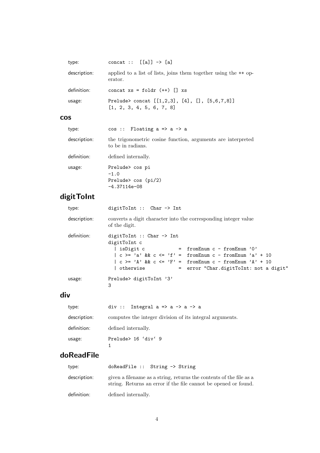| type:        | concat :: $[[a]] \rightarrow [a]$                                             |
|--------------|-------------------------------------------------------------------------------|
| description: | applied to a list of lists, joins them together using the $++$ op-<br>erator. |
| definition:  | concat $xs = foldr (++) [] xs$                                                |
| usage:       | Prelude> concat $[[1,2,3], [4], [3, 5, 6, 7, 8]]$<br>[1, 2, 3, 4, 5, 6, 7, 8] |

### cos

| type:        | $cos ::$ Floating $a \Rightarrow a \Rightarrow a$                                 |
|--------------|-----------------------------------------------------------------------------------|
| description: | the trigonometric cosine function, arguments are interpreted<br>to be in radians. |
| definition:  | defined internally.                                                               |
| usage:       | Prelude> cos pi<br>$-1.0$<br>Prelude> $cos(pi/2)$<br>$-4.37114e-08$               |

## digitToInt

| type:        | digitToInt :: Char -> Int                                                                                                                                                                                                                                                                                  |
|--------------|------------------------------------------------------------------------------------------------------------------------------------------------------------------------------------------------------------------------------------------------------------------------------------------------------------|
| description: | converts a digit character into the corresponding integer value<br>of the digit.                                                                                                                                                                                                                           |
| definition:  | digitToInt :: Char $\rightarrow$ Int<br>digitToInt c<br>  isDigit c<br>$=$ from Enum c - from Enum '0'<br>$  c \rangle = 'a' \& c \le 'f' = fromEnum c - fromEnum 'a' + 10$<br>$  c \rangle = 'A' \& c \leq 'F' = fromEnum c - fromEnum 'A' + 10$<br>  otherwise<br>= error "Char.digitToInt: not a digit" |
| usage:       | Prelude> digitToInt '3'<br>3                                                                                                                                                                                                                                                                               |

## div

| type:        | div :: Integral $a \Rightarrow a \Rightarrow a \Rightarrow a$ |
|--------------|---------------------------------------------------------------|
| description: | computes the integer division of its integral arguments.      |
| definition:  | defined internally.                                           |
| usage:       | Prelude> 16 'div' 9                                           |

## doReadFile

| type:        | $d$ o $ReadFile :: String \rightarrow String$                                                                                          |
|--------------|----------------------------------------------------------------------------------------------------------------------------------------|
| description: | given a filename as a string, returns the contents of the file as a<br>string. Returns an error if the file cannot be opened or found. |
| definition:  | defined internally.                                                                                                                    |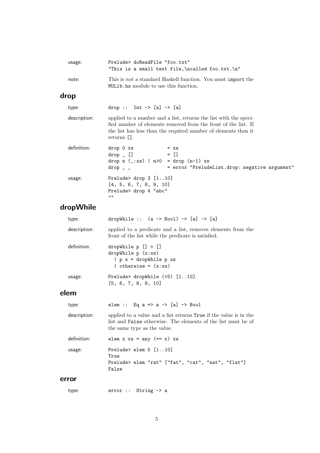| usage:       | Prelude> doReadFile "foo.txt"<br>"This is a small text file, \ncalled foo.txt. \n"                                                                                                                                  |
|--------------|---------------------------------------------------------------------------------------------------------------------------------------------------------------------------------------------------------------------|
| note:        | This is not a standard Haskell function. You must import the<br>MULib.hs module to use this function.                                                                                                               |
| drop         |                                                                                                                                                                                                                     |
| type:        | drop :: Int $\rightarrow$ [a] $\rightarrow$ [a]                                                                                                                                                                     |
| description: | applied to a number and a list, returns the list with the speci-<br>fied number of elements removed from the front of the list. If<br>the list has less than the required number of elements then it<br>returns []. |
| definition:  | drop 0 xs<br>$= x s$<br>$= \Box$<br>$drop$ $[]$<br>drop $n$ (_:xs)   $n>0$ = drop $(n-1)$ xs<br>= error "PreludeList.drop: negative argument"<br>$drop -$                                                           |
| usage:       | Prelude> drop $3$ $[110]$<br>[4, 5, 6, 7, 8, 9, 10]<br>Prelude> drop 4 "abc"<br>1111                                                                                                                                |

## dropWhile

| type:        | dropWhile :: $(a \rightarrow Bool) \rightarrow [a] \rightarrow [a]$                                                 |
|--------------|---------------------------------------------------------------------------------------------------------------------|
| description: | applied to a predicate and a list, removes elements from the<br>front of the list while the predicate is satisfied. |
| definition:  | dropWhile $p$ $[] = []$<br>dropWhile $p(x:xs)$<br>$  p x = dropWhile p xs$<br>  otherwise = $(x:xs)$                |
| usage:       | Prelude> dropWhile $(5)$ $[110]$<br>[5, 6, 7, 8, 9, 10]                                                             |

## elem

| type:        | elem :: Eq a => a -> [a] -> Bool                                                                                                                                  |
|--------------|-------------------------------------------------------------------------------------------------------------------------------------------------------------------|
| description: | applied to a value and a list returns True if the value is in the<br>list and False otherwise. The elements of the list must be of<br>the same type as the value. |
| definition:  | elem x xs = any $(== x)$ xs                                                                                                                                       |
| usage:       | Prelude> elem $5$ $[110]$<br>True<br>Prelude> elem "rat" ["fat", "cat", "sat", "flat"]<br>False                                                                   |
| rnr          |                                                                                                                                                                   |

### error

type: error :: String -> a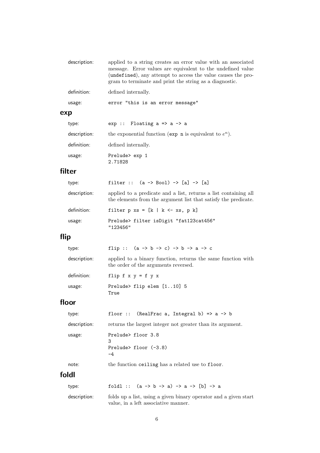| description: | applied to a string creates an error value with an associated<br>message. Error values are equivalent to the undefined value<br>(undefined), any attempt to access the value causes the pro-<br>gram to terminate and print the string as a diagnostic. |
|--------------|---------------------------------------------------------------------------------------------------------------------------------------------------------------------------------------------------------------------------------------------------------|
| definition:  | defined internally.                                                                                                                                                                                                                                     |
| usage:       | error "this is an error message"                                                                                                                                                                                                                        |
| exp          |                                                                                                                                                                                                                                                         |
| type:        | $exp$ :: Floating $a \Rightarrow a \Rightarrow a$                                                                                                                                                                                                       |

| description: | the exponential function (exp n is equivalent to $e^n$ ). |
|--------------|-----------------------------------------------------------|
| definition:  | defined internally.                                       |
| usage:       | Prelude> exp 1<br>2.71828                                 |

## filter

| type:        | filter :: $(a \rightarrow Bool) \rightarrow [a] \rightarrow [a]$                                                                    |
|--------------|-------------------------------------------------------------------------------------------------------------------------------------|
| description: | applied to a predicate and a list, returns a list containing all<br>the elements from the argument list that satisfy the predicate. |
| definition:  | filter $p$ xs = $[k \mid k \le x s, p k]$                                                                                           |
| usage:       | Prelude> filter isDigit "fat123cat456"<br>"123456"                                                                                  |

## flip

| type:        | flip :: $(a \rightarrow b \rightarrow c) \rightarrow b \rightarrow a \rightarrow c$                  |
|--------------|------------------------------------------------------------------------------------------------------|
| description: | applied to a binary function, returns the same function with<br>the order of the arguments reversed. |
| definition:  | flip $f \times y = f \vee x$                                                                         |
| usage:       | Prelude> flip elem [110] 5<br>True                                                                   |

## floor

| type:        | floor :: (RealFrac a, Integral b) => $a \rightarrow b$     |
|--------------|------------------------------------------------------------|
| description: | returns the largest integer not greater than its argument. |
| usage:       | Prelude> floor 3.8<br>3<br>Prelude> floor $(-3.8)$<br>-4   |

### note: the function ceiling has a related use to floor. foldl

| tvpe:        | foldl :: $(a \rightarrow b \rightarrow a) \rightarrow a \rightarrow [b] \rightarrow a$                   |
|--------------|----------------------------------------------------------------------------------------------------------|
| description: | folds up a list, using a given binary operator and a given start<br>value, in a left associative manner. |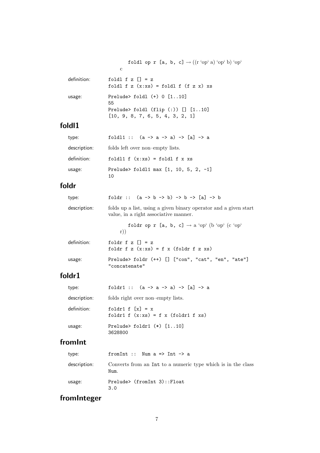|             | foldl op r [a, b, c] $\rightarrow ((r \text{ 'op' a}) \text{ 'op' b}) \text{ 'op' }$<br>C                            |
|-------------|----------------------------------------------------------------------------------------------------------------------|
| definition: | foldl f z $\lceil$ = z<br>foldl f $z(x:xs) = foldl$ f $(f z x) xs$                                                   |
| usage:      | Prelude> foldl $(+)$ 0 $[110]$<br>55<br>Prelude> foldl $(flip$ $(:)$ $[]$ $[110]$<br>[10, 9, 8, 7, 6, 5, 4, 3, 2, 1] |

## foldl1

| type:        | foldl1 :: $(a \rightarrow a \rightarrow a) \rightarrow [a] \rightarrow a$ |
|--------------|---------------------------------------------------------------------------|
| description: | folds left over non-empty lists.                                          |
| definition:  | foldl1 $f(x:xs) = fold1 f x xs$                                           |
| usage:       | Prelude> foldl1 max $[1, 10, 5, 2, -1]$<br>10                             |

### foldr

| type:        | foldr :: $(a \rightarrow b \rightarrow b) \rightarrow b \rightarrow [a] \rightarrow b$                    |
|--------------|-----------------------------------------------------------------------------------------------------------|
| description: | folds up a list, using a given binary operator and a given start<br>value, in a right associative manner. |
|              | foldr op r [a, b, c] $\rightarrow$ a 'op' (b 'op' (c 'op'<br>$r)$ )                                       |
| definition:  | foldr $f \, z \, \lceil \cdot \rceil = z$<br>foldr $f z(x:xs) = f x (foldr f z xs)$                       |
| usage:       | Prelude> foldr $(++)$ [] ["con", "cat", "en", "ate"]<br>"concatenate"                                     |

## foldr1

| type:        | foldr1 :: $(a \rightarrow a \rightarrow a) \rightarrow [a] \rightarrow a$ |
|--------------|---------------------------------------------------------------------------|
| description: | folds right over non-empty lists.                                         |
| definition:  | foldr1 f $[x] = x$<br>foldr1 f $(x:xs) = f x$ (foldr1 f xs)               |
| usage:       | Prelude> foldr1 $(*)$ $[110]$<br>3628800                                  |

## fromInt

| type:        | from Int :: Num $a \Rightarrow$ Int $\rightarrow a$                  |
|--------------|----------------------------------------------------------------------|
| description: | Converts from an Int to a numeric type which is in the class<br>Num. |
| usage:       | Prelude> (fromInt 3)::Float<br>3.0                                   |

## fromInteger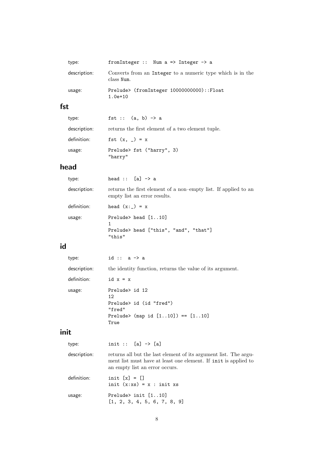| type:        | from Integer :: Num $a \Rightarrow$ Integer $\Rightarrow$ a              |
|--------------|--------------------------------------------------------------------------|
| description: | Converts from an Integer to a numeric type which is in the<br>class Num. |
| usage:       | Prelude> (fromInteger 10000000000)::Float<br>$1.0e+10$                   |

## fst

| type:        | fst :: $(a, b) \rightarrow a$                     |
|--------------|---------------------------------------------------|
| description: | returns the first element of a two element tuple. |
| definition:  | fst $(x, ) = x$                                   |
| usage:       | Prelude> fst ("harry", 3)<br>"harry"              |

## head

| type:        | head :: $[a] \rightarrow a$                                                                     |
|--------------|-------------------------------------------------------------------------------------------------|
| description: | returns the first element of a non-empty list. If applied to an<br>empty list an error results. |
| definition:  | head $(x:-) = x$                                                                                |
| usage:       | Prelude> head $[110]$<br>Prelude> head ["this", "and", "that"]<br>"this"                        |

## id

| type:        | id :: $a \rightarrow a$                                                                                                 |
|--------------|-------------------------------------------------------------------------------------------------------------------------|
| description: | the identity function, returns the value of its argument.                                                               |
| definition:  | id $x = x$                                                                                                              |
| usage:       | Prelude> id 12<br>12 <sub>2</sub><br>Prelude> id (id "fred")<br>"fred"<br>Prelude> (map id $[110]$ ) == $[110]$<br>True |

## init

| type:        | init :: $[a]$ -> $[a]$                                                                                                                                                |
|--------------|-----------------------------------------------------------------------------------------------------------------------------------------------------------------------|
| description: | returns all but the last element of its argument list. The argu-<br>ment list must have at least one element. If init is applied to<br>an empty list an error occurs. |
| definition:  | init $[x] = []$<br>init $(x:xs) = x : init xs$                                                                                                                        |
| usage:       | Prelude> init $[110]$<br>[1, 2, 3, 4, 5, 6, 7, 8, 9]                                                                                                                  |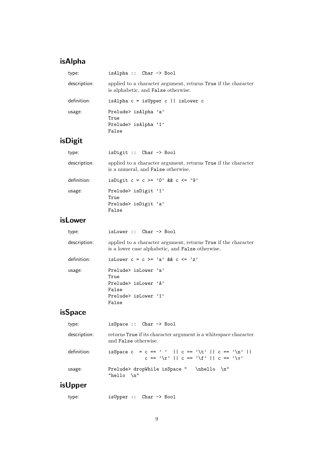## isAlpha

| type:        | $isAlpha :: Char \rightarrow Bool$                                                                    |
|--------------|-------------------------------------------------------------------------------------------------------|
| description: | applied to a character argument, returns True if the character<br>is alphabetic, and False otherwise. |
| definition:  | isAlpha $c = i$ sUpper $c \mid i$ sLower c                                                            |
| usage:       | Prelude> isAlpha 'a'<br>True<br>Prelude> isAlpha '1'<br>False                                         |

## isDigit

| type:        | isDigit :: $Char \rightarrow Bool$                                                                          |
|--------------|-------------------------------------------------------------------------------------------------------------|
| description: | applied to a character argument, returns True if the character<br>is a numeral, and <b>False</b> otherwise. |
| definition:  | is Digit $c = c \ge 0$ , & $c \le -19$                                                                      |
| usage:       | Prelude> isDigit '1'<br>True                                                                                |
|              | Prelude> isDigit 'a'<br>False                                                                               |
|              |                                                                                                             |

## isLower

| type:        | isLower :: Char -> Bool                                                                                                   |
|--------------|---------------------------------------------------------------------------------------------------------------------------|
| description: | applied to a character argument, returns True if the character<br>is a lower case alphabetic, and <b>False</b> otherwise. |
| definition:  | is Lower $c = c \ge -2$ a' & & $c \le -2$                                                                                 |
| usage:       | Prelude> isLower 'a'<br>True                                                                                              |
|              | Prelude $\frac{1}{2}$ is Lower $\frac{1}{2}$<br>False                                                                     |
|              | Prelude $\frac{1}{2}$ is Lower $\frac{1}{2}$<br>False                                                                     |
|              |                                                                                                                           |

## isSpace

| type:        | is Space $::$ Char $\rightarrow$ Bool                                                            |
|--------------|--------------------------------------------------------------------------------------------------|
| description: | returns True if its character argument is a white space character<br>and <b>False</b> otherwise. |
| definition:  | isSpace c = c == ''    c == '\t'    c == '\n'   <br>$c == ' \r'    c == ' \f'    c == ' \y'$     |
| usage:       | $\hbar$ ello $\hbar$ "<br>Prelude> dropWhile isSpace "<br>"hello $\ln$ "                         |

## isUpper

| type: |  | isUpper :: Char -> Bool |
|-------|--|-------------------------|
|-------|--|-------------------------|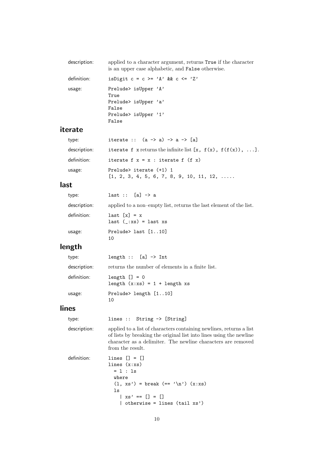| description: | applied to a character argument, returns True if the character<br>is an upper case alphabetic, and <b>False</b> otherwise. |
|--------------|----------------------------------------------------------------------------------------------------------------------------|
| definition:  | is Digit $c = c \geq 'A'$ & $c \leq 'Z'$                                                                                   |
| usage:       | Prelude> isUpper 'A'<br>True<br>Prelude> isUpper 'a'<br>False                                                              |
|              | Prelude> isUpper '1'<br>False                                                                                              |
| erate        |                                                                                                                            |

#### it

| type:        | iterate :: $(a \rightarrow a) \rightarrow a \rightarrow [a]$                 |
|--------------|------------------------------------------------------------------------------|
| description: | iterate f x returns the infinite list $[x, f(x), f(f(x)), \ldots]$ .         |
| definition:  | iterate $f x = x : iterate f (f x)$                                          |
| usage:       | Prelude> iterate (+1) 1<br>$[1, 2, 3, 4, 5, 6, 7, 8, 9, 10, 11, 12, \ldots]$ |

#### last

| type:        | last :: $[a] \rightarrow a$                                        |
|--------------|--------------------------------------------------------------------|
| description: | applied to a non-empty list, returns the last element of the list. |
| definition:  | $last [x] = x$<br>$last (-:xs) = last xs$                          |
| usage:       | Prelude> last $[110]$<br>10                                        |

## length

| type:        | length :: $[a] \rightarrow Int$                     |
|--------------|-----------------------------------------------------|
| description: | returns the number of elements in a finite list.    |
| definition:  | $length$ $] = 0$<br>length $(x:xs) = 1 + length xs$ |
| usage:       | Prelude> length [110]<br>10                         |

#### lines

type: lines :: String -> [String]

description: applied to a list of characters containing newlines, returns a list of lists by breaking the original list into lines using the newline character as a delimiter. The newline characters are removed from the result.

```
definition: lines [] = []
 lines (x:xs)
   = 1 : 1swhere
    (1, xs') = break (= '\n') (x:xs)ls
     | xs' == [] = []| otherwise = lines (tail xs')
```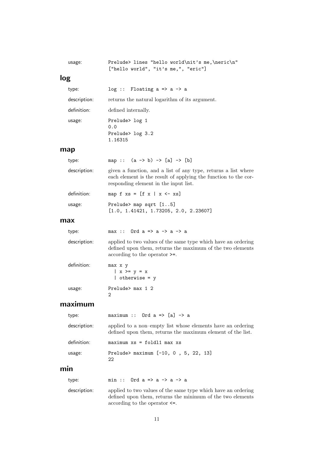| usage: | Prelude> lines "hello world\nit's me,\neric\n" |  |  |  |
|--------|------------------------------------------------|--|--|--|
|        | ["hello world", "it's me," "eric"]             |  |  |  |

### log

| type:        | $log$ :: Floating a => a -> a                  |
|--------------|------------------------------------------------|
| description: | returns the natural logarithm of its argument. |
| definition:  | defined internally.                            |
| usage:       | Prelude> log 1<br>0.0                          |
|              | Prelude> log 3.2<br>1.16315                    |

#### map

| type:        | map :: $(a \rightarrow b) \rightarrow [a] \rightarrow [b]$                                                                                                                 |
|--------------|----------------------------------------------------------------------------------------------------------------------------------------------------------------------------|
| description: | given a function, and a list of any type, returns a list where<br>each element is the result of applying the function to the cor-<br>responding element in the input list. |
| definition:  | map f $xs = [f x   x < - xs]$                                                                                                                                              |
| usage:       | Prelude> map sqrt $[15]$<br>[1.0, 1.41421, 1.73205, 2.0, 2.23607]                                                                                                          |

#### max

| type:        | max :: Ord $a \Rightarrow a \Rightarrow a \Rightarrow a$                                                                                                                   |
|--------------|----------------------------------------------------------------------------------------------------------------------------------------------------------------------------|
| description: | applied to two values of the same type which have an ordering<br>defined upon them, returns the maximum of the two elements<br>$\alpha$ according to the operator $\geq$ . |
| definition:  | max x y<br>$  x > = y = x$<br>$\vert$ otherwise = y                                                                                                                        |
| usage:       | Prelude> max 1 2<br>2                                                                                                                                                      |

### maximum

| type:        | maximum :: Ord $a \Rightarrow [a] \rightarrow a$                                                                           |
|--------------|----------------------------------------------------------------------------------------------------------------------------|
| description: | applied to a non-empty list whose elements have an ordering<br>defined upon them, returns the maximum element of the list. |
| definition:  | $maximum xs = fold11 max xs$                                                                                               |
| usage:       | Prelude> maximum $[-10, 0, 5, 22, 13]$<br>22                                                                               |

### min

| type: | min :: Ord $a \Rightarrow a \Rightarrow a \Rightarrow a$ |
|-------|----------------------------------------------------------|
|-------|----------------------------------------------------------|

description: applied to two values of the same type which have an ordering defined upon them, returns the minimum of the two elements according to the operator  $\texttt{<=}.$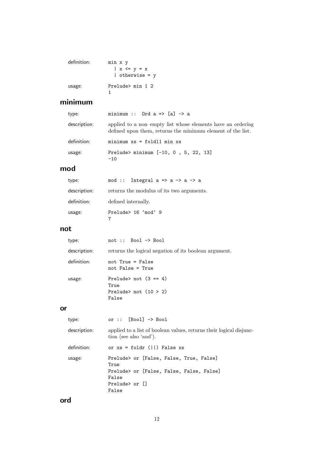| definition: | min x y                     |
|-------------|-----------------------------|
|             | $\vert$ x $\langle$ = y = x |
|             | otherwise = $y$             |
| usage:      | Prelude> min 1 2            |

### minimum

| type:        | minimum :: Ord $a \Rightarrow [a] \rightarrow a$                                                                           |
|--------------|----------------------------------------------------------------------------------------------------------------------------|
| description: | applied to a non-empty list whose elements have an ordering<br>defined upon them, returns the minimum element of the list. |
| definition:  | $minimum xs = fold1 min xs$                                                                                                |
| usage:       | Prelude> minimum [-10, 0, 5, 22, 13]<br>$-10$                                                                              |

### mod

| type:        | mod :: Integral $a \Rightarrow a \Rightarrow a \Rightarrow a$ |
|--------------|---------------------------------------------------------------|
| description: | returns the modulus of its two arguments.                     |
| definition:  | defined internally.                                           |
| usage:       | Prelude> 16 'mod' 9                                           |

### not

| type:        | $not :: Book \rightarrow Bool$                                      |
|--------------|---------------------------------------------------------------------|
| description: | returns the logical negation of its boolean argument.               |
| definition:  | not $True = False$<br>not False = True                              |
| usage:       | Prelude> not $(3 == 4)$<br>True<br>Prelude> not $(10 > 2)$<br>False |

#### or

| type:        | or $::$ [Bool] $\rightarrow$ Bool                                                             |  |  |
|--------------|-----------------------------------------------------------------------------------------------|--|--|
| description: | applied to a list of boolean values, returns their logical disjunc-<br>tion (see also 'and'). |  |  |
| definition:  | or $xs = foldr$ ( $  ) False xs$                                                              |  |  |
| usage:       | Prelude> or [False, False, True, False]<br>True                                               |  |  |
|              | Prelude> or [False, False, False, False]<br>False                                             |  |  |
|              | Prelude> or []<br>False                                                                       |  |  |

## ord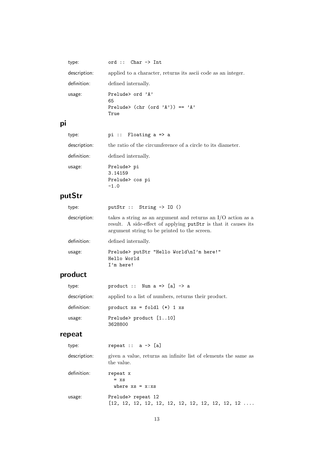|    | type:        | ord :: $Char \rightarrow Int$                                              |
|----|--------------|----------------------------------------------------------------------------|
|    | description: | applied to a character, returns its ascii code as an integer.              |
|    | definition:  | defined internally.                                                        |
|    | usage:       | Prelude $\geq$ ord $'$ A'<br>65<br>Prelude> (chr (ord 'A')) == 'A'<br>True |
| pi |              |                                                                            |
|    |              |                                                                            |

| type:        | pi :: Floating $a \Rightarrow a$                            |
|--------------|-------------------------------------------------------------|
| description: | the ratio of the circumference of a circle to its diameter. |
| definition:  | defined internally.                                         |
| usage:       | Prelude> pi<br>3.14159<br>Prelude> cos pi<br>$-1.0$         |

## putStr

| type:        | putStr :: String $\rightarrow$ IO ()                                                                                                                                             |
|--------------|----------------------------------------------------------------------------------------------------------------------------------------------------------------------------------|
| description: | takes a string as an argument and returns an $I/O$ action as a<br>result. A side-effect of applying putStr is that it causes its<br>argument string to be printed to the screen. |
| definition:  | defined internally.                                                                                                                                                              |
| usage:       | Prelude> putStr "Hello World\nI'm here!"<br>Hello World<br>$I'm$ here!                                                                                                           |

## product

| type:        | product :: Num $a \Rightarrow [a] \rightarrow a$     |
|--------------|------------------------------------------------------|
| description: | applied to a list of numbers, returns their product. |
| definition:  | product $xs = fold1$ (*) 1 $xs$                      |
| usage:       | Prelude> product [110]<br>3628800                    |

## repeat

| type:        | repeat :: $a \rightarrow [a]$                                                 |
|--------------|-------------------------------------------------------------------------------|
| description: | given a value, returns an infinite list of elements the same as<br>the value. |
| definition:  | repeat x<br>$= x s$<br>where $xs = x:xs$                                      |
| usage:       | Prelude> repeat 12                                                            |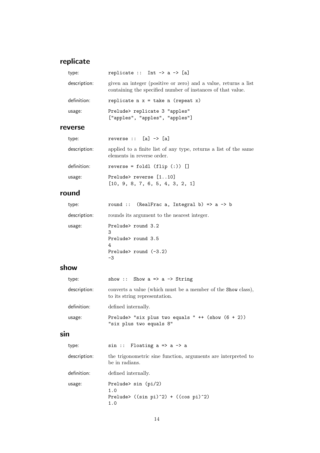## replicate

|     | type:        | replicate :: Int $\rightarrow$ a $\rightarrow$ [a]                                                                             |
|-----|--------------|--------------------------------------------------------------------------------------------------------------------------------|
|     | description: | given an integer (positive or zero) and a value, returns a list<br>containing the specified number of instances of that value. |
|     | definition:  | replicate $n \times z = \text{take } n \text{ (repeat } x)$                                                                    |
|     | usage:       | Prelude> replicate 3 "apples"<br>["apples", "apples", "apples"]                                                                |
|     | reverse      |                                                                                                                                |
|     | type:        | reverse $::$ [a] $\rightarrow$ [a]                                                                                             |
|     | description: | applied to a finite list of any type, returns a list of the same<br>elements in reverse order.                                 |
|     | definition:  | $reverse = fold1 (flip (:) ) []$                                                                                               |
|     | usage:       | Prelude> reverse [110]<br>[10, 9, 8, 7, 6, 5, 4, 3, 2, 1]                                                                      |
|     | round        |                                                                                                                                |
|     | type:        | round :: (RealFrac a, Integral b) => $a \rightarrow b$                                                                         |
|     | description: | rounds its argument to the nearest integer.                                                                                    |
|     | usage:       | Prelude> round 3.2<br>3<br>Prelude> round 3.5<br>4<br>Prelude> round $(-3.2)$<br>$-3$                                          |
|     | show         |                                                                                                                                |
|     | type:        | show :: Show $a \Rightarrow a \Rightarrow$ String                                                                              |
|     | description: | converts a value (which must be a member of the Show class),<br>to its string representation.                                  |
|     | definition:  | defined internally.                                                                                                            |
|     | usage:       | Prelude> "six plus two equals " $++$ (show $(6 + 2)$ )<br>"six plus two equals 8"                                              |
| sin |              |                                                                                                                                |
|     | type:        | $sin ::$ Floating $a \Rightarrow a \Rightarrow a$                                                                              |
|     |              | description the trigonometric sine function arguments are interpreted to                                                       |

| description: | the trigonometric sine function, arguments are interpreted to<br>be in radians. |
|--------------|---------------------------------------------------------------------------------|
| definition:  | defined internally.                                                             |
| usage:       | Prelude $\sin$ (pi/2)<br>1.0<br>Prelude> $((sin pi)^2) + ((cos pi)^2)$<br>1.0   |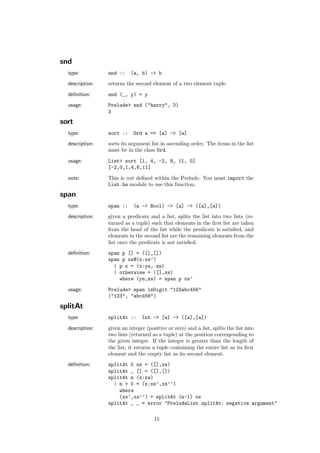### snd

| type:        | snd :: $(a, b) \rightarrow b$                      |
|--------------|----------------------------------------------------|
| description: | returns the second element of a two element tuple. |
| definition:  | $\text{snd } (\_, y) = y$                          |
| usage:       | Prelude> snd ("harry", 3)<br>3                     |

#### sort

| type:        | sort :: Ord $a \Rightarrow [a] \rightarrow [a]$                                                            |
|--------------|------------------------------------------------------------------------------------------------------------|
| description: | sorts its argument list in ascending order. The items in the list<br>must be in the class <b>Ord</b> .     |
| usage:       | List> sort $[1, 4, -2, 8, 11, 0]$<br>$[-2,0,1,4,8,11]$                                                     |
| note:        | This is <i>not</i> defined within the Prelude. You must import the<br>List hs module to use this function. |

#### span

| type:        | span :: $(a \rightarrow Bool) \rightarrow [a] \rightarrow ([a], [a])$                                                                                                                                                                                                                                                     |
|--------------|---------------------------------------------------------------------------------------------------------------------------------------------------------------------------------------------------------------------------------------------------------------------------------------------------------------------------|
| description: | given a predicate and a list, splits the list into two lists (re-<br>turned as a tuple) such that elements in the first list are taken<br>from the head of the list while the predicate is satisfied, and<br>elements in the second list are the remaining elements from the<br>list once the predicate is not satisfied. |
| definition:  | span p $[] = ([], []$<br>span $p$ $xs@(x:xs')$<br>$  p x = (x:ys, zs)$<br>  otherwise = $([$ ], xs)<br>where $(ys, zs) = span p xs'$                                                                                                                                                                                      |
| usage:       | Prelude> span isDigit "123abc456"<br>("123", "abc456")                                                                                                                                                                                                                                                                    |

### splitAt

| splitAt :: Int -> [a] -> ([a], [a])<br>type: |  |  |
|----------------------------------------------|--|--|
|----------------------------------------------|--|--|

description: given an integer (positive or zero) and a list, splits the list into two lists (returned as a tuple) at the position corresponding to the given integer. If the integer is greater than the length of the list, it returns a tuple containing the entire list as its first element and the empty list as its second element.

| definition: | splitAt $0 \text{ xs} = ([], \text{xs})$                     |
|-------------|--------------------------------------------------------------|
|             | $splitAt [ ] = ([], [] )$                                    |
|             | splitAt n (x:xs)                                             |
|             | $  n > 0 = (x:xs', xs'')$                                    |
|             | where                                                        |
|             | $(xs', xs'') = splitAt (n-1) xs$                             |
|             | $splitAt =$ = error "PreludeList.splitAt: negative argument" |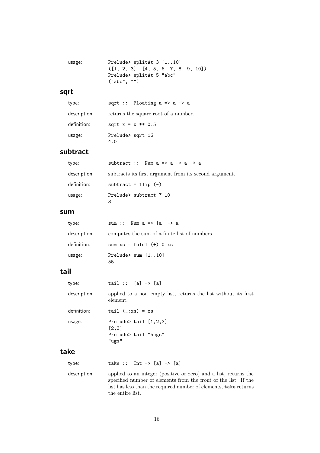```
usage: Prelude> splitAt 3 [1..10]
 ([1, 2, 3], [4, 5, 6, 7, 8, 9, 10])
  Prelude> splitAt 5 "abc"
  ("abc", "")
```
#### sqrt

| type:        | sqrt :: Floating $a \Rightarrow a \Rightarrow a$ |
|--------------|--------------------------------------------------|
| description: | returns the square root of a number.             |
| definition:  | sqrt $x = x ** 0.5$                              |
| usage:       | Prelude> sqrt 16<br>4.0                          |

#### subtract

| type:        | subtract :: Num $a \Rightarrow a \Rightarrow a \Rightarrow a$ |
|--------------|---------------------------------------------------------------|
| description: | subtracts its first argument from its second argument.        |
| definition:  | subtract = $flip$ $(-)$                                       |
| usage:       | Prelude> subtract 7 10<br>3                                   |

#### sum

| type:        | sum :: Num $a \Rightarrow [a] \rightarrow a$  |
|--------------|-----------------------------------------------|
| description: | computes the sum of a finite list of numbers. |
| definition:  | sum $xs = fold1 (+) 0 xs$                     |
| usage:       | Prelude> sum $[110]$<br>55                    |

### tail

| type:        | $tail :: [a] \rightarrow [a]$                                               |
|--------------|-----------------------------------------------------------------------------|
| description: | applied to a non-empty list, returns the list without its first<br>element. |
| definition:  | tail $(\cdot;xs) = xs$                                                      |
| usage:       | Prelude $\lambda$ tail $[1,2,3]$<br>[2,3]<br>Prelude> tail "hugs"<br>"ugs"  |
| take         |                                                                             |
| type:        | take :: Int -> $[a]$ -> $[a]$                                               |

description: applied to an integer (positive or zero) and a list, returns the specified number of elements from the front of the list. If the list has less than the required number of elements, take returns the entire list.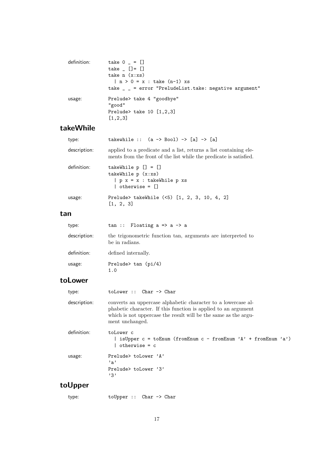| definition: | take $0 - 1$<br>take $[] = []$<br>take $n(x:xs)$<br>$  n > 0 = x : take (n-1) xs$<br>take $\angle$ = error "PreludeList.take: negative argument" |
|-------------|--------------------------------------------------------------------------------------------------------------------------------------------------|
| usage:      | Prelude> take 4 "goodbye"<br>"good"<br>Prelude> take $10$ [1,2,3]<br>[1, 2, 3]                                                                   |

### takeWhile

| type:        | takewhile :: $(a \rightarrow Bool) \rightarrow [a] \rightarrow [a]$                                                                     |
|--------------|-----------------------------------------------------------------------------------------------------------------------------------------|
| description: | applied to a predicate and a list, returns a list containing ele-<br>ments from the front of the list while the predicate is satisfied. |
| definition:  | takeWhile $p$ $[] = []$<br>takeWhile $p(x:xs)$<br>$  p x = x : takeWhile p xs$<br>$\vert$ otherwise = $\vert$                           |
| usage:       | Prelude> takeWhile (<5) [1, 2, 3, 10, 4, 2]<br>[1, 2, 3]                                                                                |

#### tan

| type:        | $tan ::$ Floating a => a -> a                                                  |
|--------------|--------------------------------------------------------------------------------|
| description: | the trigonometric function tan, arguments are interpreted to<br>be in radians. |
| definition:  | defined internally.                                                            |
| usage:       | Prelude $\tan$ (pi/4)<br>1.0                                                   |

### toLower

| type:        | $tolower :: Char \rightarrow Char$                                                                                                                                                                                    |
|--------------|-----------------------------------------------------------------------------------------------------------------------------------------------------------------------------------------------------------------------|
| description: | converts an uppercase alphabetic character to a lowercase al-<br>phabetic character. If this function is applied to an argument<br>which is not uppercase the result will be the same as the argu-<br>ment unchanged. |
| definition:  | toLower c<br>  isUpper c = toEnum (fromEnum c - fromEnum 'A' + fromEnum 'a')<br>  otherwise = c                                                                                                                       |
| usage:       | Prelude> toLower 'A'<br>$, \mathsf{a}$<br>Prelude> toLower '3'<br>, 3, 7                                                                                                                                              |
| ıl Inner     |                                                                                                                                                                                                                       |

### toUpper

| type: |  | $to Upper :: Char \rightarrow Char$ |
|-------|--|-------------------------------------|
|-------|--|-------------------------------------|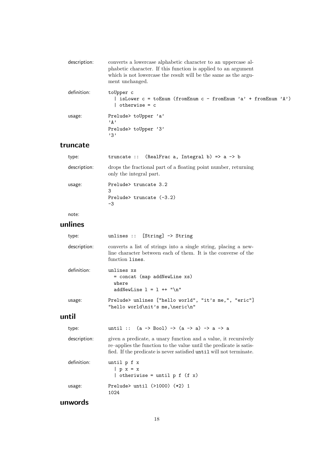| description: | converts a lowercase alphabetic character to an uppercase al-<br>phabetic character. If this function is applied to an argument<br>which is not lowercase the result will be the same as the argu-<br>ment unchanged. |
|--------------|-----------------------------------------------------------------------------------------------------------------------------------------------------------------------------------------------------------------------|
| definition:  | toUpper c<br>  isLower $c = \text{toEnum}$ (fromEnum $c - \text{fromEnum}$ 'a' + fromEnum 'A')<br>$otherwise = c$                                                                                                     |
| usage:       | Prelude> toUpper 'a'<br>$, \mathsf{A}$ ,<br>Prelude> toUpper '3'<br>, 3, 7                                                                                                                                            |

#### truncate

| type:        | truncate :: (RealFrac a, Integral b) => $a \rightarrow b$                                  |
|--------------|--------------------------------------------------------------------------------------------|
| description: | drops the fractional part of a floating point number, returning<br>only the integral part. |
| usage:       | Prelude> truncate 3.2<br>3<br>Prelude> truncate $(-3.2)$<br>-3                             |

#### note:

### unlines

| type:        | unlines :: $[String] \rightarrow String$                                                                                                             |
|--------------|------------------------------------------------------------------------------------------------------------------------------------------------------|
| description: | converts a list of strings into a single string, placing a new-<br>line character between each of them. It is the converse of the<br>function lines. |
| definition:  | unlines xs<br>= concat (map addNewLine xs)<br>where<br>addNewLine $1 = 1$ ++ "\n"                                                                    |
| usage:       | Prelude> unlines ["hello world", "it's me,", "eric"]<br>"hello world\nit's me,\neric\n"                                                              |

### until

| type:        | until :: $(a \rightarrow Bool) \rightarrow (a \rightarrow a) \rightarrow a \rightarrow a$                                                                                                                    |
|--------------|--------------------------------------------------------------------------------------------------------------------------------------------------------------------------------------------------------------|
| description: | given a predicate, a unary function and a value, it recursively<br>re-applies the function to the value until the predicate is satis-<br>fied. If the predicate is never satisfied until will not terminate. |
| definition:  | until p f x<br>$  p x = x$<br>  otheriwise = until $p f(f x)$                                                                                                                                                |
| usage:       | Prelude> until $(>1000)$ $(*2)$ 1<br>1024                                                                                                                                                                    |

### unwords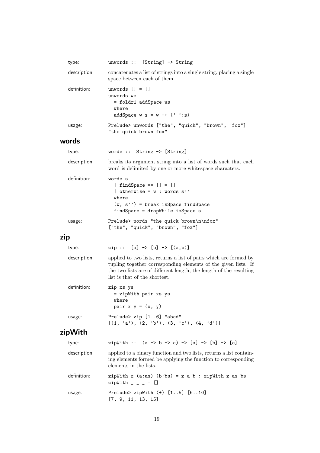|     | type:        | unwords :: $[String] \rightarrow String$                                                                                                                                                                                                   |
|-----|--------------|--------------------------------------------------------------------------------------------------------------------------------------------------------------------------------------------------------------------------------------------|
|     | description: | concatenates a list of strings into a single string, placing a single<br>space between each of them.                                                                                                                                       |
|     | definition:  | unwords $[] = []$<br>unwords ws<br>= foldr1 addSpace ws<br>where<br>addSpace $w s = w ++ (' '': s)$                                                                                                                                        |
|     | usage:       | Prelude> unwords ["the", "quick", "brown", "fox"]<br>"the quick brown fox"                                                                                                                                                                 |
|     | words        |                                                                                                                                                                                                                                            |
|     | type:        | words :: String $\rightarrow$ [String]                                                                                                                                                                                                     |
|     | description: | breaks its argument string into a list of words such that each<br>word is delimited by one or more whitespace characters.                                                                                                                  |
|     | definition:  | words s<br>$\left[ \text{ findSpace} == [] = []$<br>$\vert$ otherwise = $w : words s'$<br>where<br>$(w, s'')$ = break isSpace findSpace<br>findSpace = dropWhile isSpace s                                                                 |
|     | usage:       | Prelude> words "the quick brown\n\nfox"                                                                                                                                                                                                    |
|     |              | ["the", "quick", "brown", "fox"]                                                                                                                                                                                                           |
| zip |              |                                                                                                                                                                                                                                            |
|     | type:        | $zip :: [a] \rightarrow [b] \rightarrow [(a,b)]$                                                                                                                                                                                           |
|     | description: | applied to two lists, returns a list of pairs which are formed by<br>tupling together corresponding elements of the given lists. If<br>the two lists are of different length, the length of the resulting<br>list is that of the shortest. |
|     | definition:  | zip xs ys<br>= zipWith pair xs ys<br>where<br>pair $x y = (x, y)$                                                                                                                                                                          |
|     | usage:       | Prelude> zip [16] "abcd"<br>$[(1, 'a'), (2, 'b'), (3, 'c'), (4, 'd')]$                                                                                                                                                                     |
|     | zipWith      |                                                                                                                                                                                                                                            |
|     | type:        | zipWith :: $(a \rightarrow b \rightarrow c) \rightarrow [a] \rightarrow [b] \rightarrow [c]$                                                                                                                                               |
|     | description: | applied to a binary function and two lists, returns a list contain-<br>ing elements formed be applying the function to corresponding<br>elements in the lists.                                                                             |
|     | definition:  | zipWith $z$ (a:as) (b:bs) = $z$ a $b$ : zipWith $z$ as bs<br>$zipWith - - = []$                                                                                                                                                            |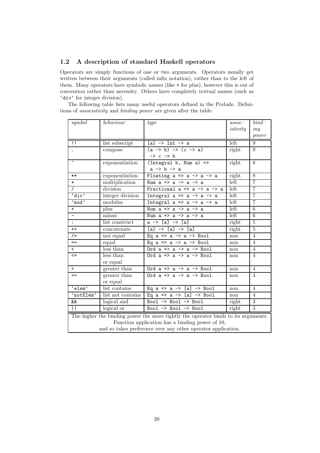#### 1.2 A description of standard Haskell operators

Operators are simply functions of one or two arguments. Operators usually get written between their arguments (called infix notation), rather than to the left of them. Many operators have symbolic names (like + for plus), however this is out of convention rather than necessity. Others have completely textual names (such as 'div' for integer division).

The following table lists many useful operators defined in the Prelude. Definitions of associativity and binding power are given after the table.

| symboll                                                      | behaviour                     | type                                                                               | $assoc-$<br>iativity | $bind-$<br>ing |
|--------------------------------------------------------------|-------------------------------|------------------------------------------------------------------------------------|----------------------|----------------|
|                                                              |                               |                                                                                    |                      | power          |
| $\mathbf{1}$                                                 | list subscript                | $[a]$ -> Int -> a                                                                  | left                 | 9              |
|                                                              | compose                       | $(a \rightarrow b) \rightarrow (c \rightarrow a)$                                  | right                | 9              |
|                                                              |                               | $\rightarrow$ c $\rightarrow$ b                                                    |                      |                |
| $\hat{\phantom{a}}$                                          | exponentiation                | $(Integral b, Num a)$ =>                                                           | right                | 8              |
|                                                              |                               | $a \rightarrow b \rightarrow a$                                                    |                      |                |
| $***$                                                        | exponentiation                | Floating $a \Rightarrow a \Rightarrow a \Rightarrow a$                             | right                | 8              |
| $\ast$                                                       | multiplication                | Num $a \Rightarrow a \Rightarrow a \Rightarrow a$                                  | left                 | 7              |
| $\prime$                                                     | division                      | Fractional $a \Rightarrow a \Rightarrow a \Rightarrow a$                           | left                 | $\overline{7}$ |
| $'$ div $'$                                                  | integer division              | Integral $a \Rightarrow a \Rightarrow a \Rightarrow a$                             | left                 | $\overline{7}$ |
| 'mod'                                                        | modulus                       | Integral $a \Rightarrow a \Rightarrow a \Rightarrow a$                             | left                 | $\overline{7}$ |
| $+$                                                          | plus                          | Num $a \Rightarrow a \Rightarrow a \Rightarrow a$                                  | left                 | 6              |
|                                                              | minus                         | Num $a \Rightarrow a \Rightarrow a \Rightarrow a$                                  | left                 | $\overline{6}$ |
| $\ddot{\cdot}$                                               | list construct                | $a \rightarrow [a] \rightarrow [a]$                                                | right                | $\mathbf 5$    |
| $++$                                                         | concatenate                   | $[a]$ -> $[a]$ -> $[a]$                                                            | right                | $\overline{5}$ |
| $/ =$                                                        | not equal                     | Eq $a \Rightarrow a \Rightarrow a \Rightarrow$ Bool                                | non                  | $\overline{4}$ |
| $==$                                                         | equal                         | Eq $a \Rightarrow a \Rightarrow a \Rightarrow$ Bool                                | non                  | $\overline{4}$ |
| $\overline{\phantom{0}}$                                     | $\overline{\text{less than}}$ | Ord $a \Rightarrow a \Rightarrow a \Rightarrow$ Bool                               | non                  | $\overline{4}$ |
| $\leq$                                                       | less than                     | Ord $a \Rightarrow a \Rightarrow a \Rightarrow$ Bool                               | non                  | $\overline{4}$ |
|                                                              | or equal                      |                                                                                    |                      |                |
| $\geq$                                                       | greater than                  | Ord $a \Rightarrow a \Rightarrow a \Rightarrow$ Bool                               | $\operatorname{non}$ | 4              |
| $>=$                                                         | greater than                  | Ord $a \Rightarrow a \Rightarrow a \Rightarrow$ Bool                               | non                  | $\overline{4}$ |
|                                                              | or equal                      |                                                                                    |                      |                |
| 'elem'                                                       | list contains                 | Eq a => a -> [a] $\rightarrow$ Bool                                                | non                  | $\overline{4}$ |
| 'notElem'                                                    | list not contains             | Eq $a \Rightarrow a \Rightarrow [a] \Rightarrow$ Bool                              | non                  | $\overline{4}$ |
| &&                                                           | logical and                   | Bool -> Bool -> Bool                                                               | right                | $\overline{3}$ |
| $\perp$                                                      | logical or                    | Bool -> Bool -> Bool                                                               | right                | $\overline{3}$ |
|                                                              |                               | The higher the binding power the more tightly the operator binds to its arguments. |                      |                |
| Function application has a binding power of 10,              |                               |                                                                                    |                      |                |
| and so takes preference over any other operator application. |                               |                                                                                    |                      |                |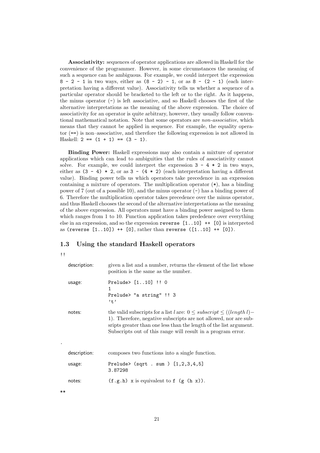Associativity: sequences of operator applications are allowed in Haskell for the convenience of the programmer. However, in some circumstances the meaning of such a sequence can be ambiguous. For example, we could interpret the expression  $8 - 2 - 1$  in two ways, either as  $(8 - 2) - 1$ , or as  $8 - (2 - 1)$  (each interpretation having a different value). Associativity tells us whether a sequence of a particular operator should be bracketed to the left or to the right. As it happens, the minus operator  $(-)$  is left associative, and so Haskell chooses the first of the alternative interpretations as the meaning of the above expression. The choice of associativity for an operator is quite arbitrary, however, they usually follow conventional mathematical notation. Note that some operators are non-associative, which means that they cannot be applied in sequence. For example, the equality operator (==) is non–associative, and therefore the following expression is not allowed in Haskell:  $2 == (1 + 1) == (3 - 1)$ .

Binding Power: Haskell expressions may also contain a mixture of operator applications which can lead to ambiguities that the rules of associativity cannot solve. For example, we could interpret the expression  $3 - 4 \times 2$  in two ways, either as  $(3 - 4) * 2$ , or as  $3 - (4 * 2)$  (each interpretation having a different value). Binding power tells us which operators take precedence in an expression containing a mixture of operators. The multiplication operator (\*), has a binding power of 7 (out of a possible 10), and the minus operator (-) has a binding power of 6. Therefore the multiplication operator takes precedence over the minus operator, and thus Haskell chooses the second of the alternative interpretations as the meaning of the above expression. All operators must have a binding power assigned to them which ranges from 1 to 10. Function application takes prededence over everything else in an expression, and so the expression reverse  $[1..10]$  ++  $[0]$  is interpreted as (reverse  $[1..10]$ ) ++  $[0]$ , rather than reverse  $([1..10]$  ++  $[0]$ ).

#### 1.3 Using the standard Haskell operators

| description: | given a list and a number, returns the element of the list whose<br>position is the same as the number.                                                                                                                                                                               |
|--------------|---------------------------------------------------------------------------------------------------------------------------------------------------------------------------------------------------------------------------------------------------------------------------------------|
| usage:       | Prelude> $[110]$ !! 0<br>1<br>Prelude> "a string" !! 3<br>$, +$                                                                                                                                                                                                                       |
| notes:       | the valid subscripts for a list l are: $0 \leq subscript \leq (length l)$ -<br>1). Therefore, negative subscripts are not allowed, nor are sub-<br>sripts greater than one less than the length of the list argument.<br>Subscripts out of this range will result in a program error. |
| description: | composes two functions into a single function.                                                                                                                                                                                                                                        |
| usage:       | Prelude> $(sqrt \ . \ sum \ ) [1,2,3,4,5]$<br>3.87298                                                                                                                                                                                                                                 |
| notes:       | $(f.g.h)$ x is equivalent to f $(g(h x))$ .                                                                                                                                                                                                                                           |

\*\*

.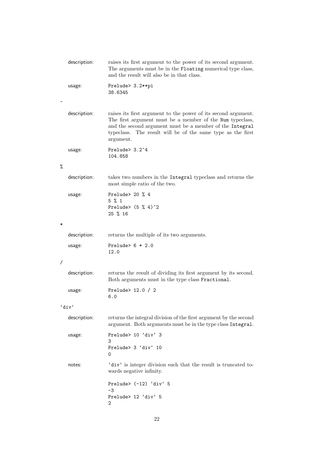|   | description: | raises its first argument to the power of its second argument.<br>The arguments must be in the Floating numerical type class,<br>and the result will also be in that class.                                                                                         |
|---|--------------|---------------------------------------------------------------------------------------------------------------------------------------------------------------------------------------------------------------------------------------------------------------------|
|   | usage:       | Prelude> 3.2**pi<br>38.6345                                                                                                                                                                                                                                         |
|   | description: | raises its first argument to the power of its second argument.<br>The first argument must be a member of the Num typeclass,<br>and the second argument must be a member of the Integral<br>typeclass. The result will be of the same type as the first<br>argument. |
|   | usage:       | Prelude> 3.2 <sup>~4</sup><br>104.858                                                                                                                                                                                                                               |
| % |              |                                                                                                                                                                                                                                                                     |
|   | description: | takes two numbers in the Integral typeclass and returns the<br>most simple ratio of the two.                                                                                                                                                                        |
|   | usage:       | Prelude> 20 $%$ 4<br>$5 \text{ \% } 1$<br>Prelude> $(5 % 4)^2$<br>25 % 16                                                                                                                                                                                           |
| ∗ |              |                                                                                                                                                                                                                                                                     |
|   | description: | returns the multiple of its two arguments.                                                                                                                                                                                                                          |
|   | usage:       | Prelude> $6 * 2.0$<br>12.0                                                                                                                                                                                                                                          |
| Τ |              |                                                                                                                                                                                                                                                                     |
|   | description: | returns the result of dividing its first argument by its second.<br>Both arguments must in the type class Fractional.                                                                                                                                               |
|   | usage:       | Prelude> 12.0 / 2<br>6.0                                                                                                                                                                                                                                            |
|   | 'div'        |                                                                                                                                                                                                                                                                     |
|   | description: | returns the integral division of the first argument by the second<br>argument. Both arguments must be in the type class Integral.                                                                                                                                   |
|   | usage:       | Prelude> 10 'div' 3<br>3                                                                                                                                                                                                                                            |
|   |              | Prelude> 3 'div' 10<br>0                                                                                                                                                                                                                                            |
|   | notes:       | 'div' is integer division such that the result is truncated to-<br>wards negative infinity.                                                                                                                                                                         |
|   |              | Prelude> (-12) 'div' 5<br>$-3$                                                                                                                                                                                                                                      |
|   |              | Prelude> 12 'div' 5<br>2                                                                                                                                                                                                                                            |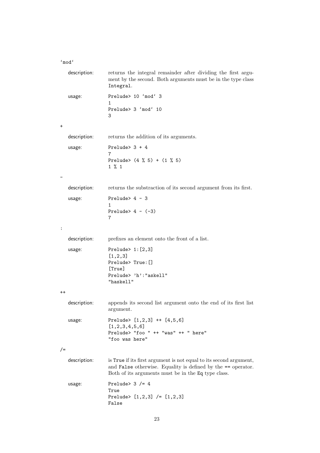'mod'

| description:    | returns the integral remainder after dividing the first argu-<br>ment by the second. Both arguments must be in the type class<br>Integral.                                                |
|-----------------|-------------------------------------------------------------------------------------------------------------------------------------------------------------------------------------------|
| usage:          | Prelude> 10 'mod' 3<br>$\mathbf{1}$                                                                                                                                                       |
|                 | Prelude> 3 'mod' 10<br>3                                                                                                                                                                  |
| $\pmb{+}$       |                                                                                                                                                                                           |
| description:    | returns the addition of its arguments.                                                                                                                                                    |
| usage:          | Prelude> $3 + 4$<br>7                                                                                                                                                                     |
|                 | Prelude> $(4 \t% 5) + (1 \t% 5)$<br>$1 \% 1$                                                                                                                                              |
|                 |                                                                                                                                                                                           |
| description:    | returns the substraction of its second argument from its first.                                                                                                                           |
| usage:          | Prelude> $4 - 3$<br>1                                                                                                                                                                     |
|                 | Prelude> $4 - (-3)$<br>7                                                                                                                                                                  |
| :               |                                                                                                                                                                                           |
| description:    | prefixes an element onto the front of a list.                                                                                                                                             |
| usage:          | Prelude> $1: [2,3]$<br>[1, 2, 3]<br>Prelude> True: []<br>[True]<br>Prelude> 'h': "askell"<br>"haskell"                                                                                    |
| $^{\mathrm{+}}$ |                                                                                                                                                                                           |
| description:    | appends its second list argument onto the end of its first list<br>argument.                                                                                                              |
| usage:          | Prelude> $[1,2,3]$ ++ $[4,5,6]$<br>[1, 2, 3, 4, 5, 6]<br>Prelude> "foo " ++ "was" ++ " here"<br>"foo was here"                                                                            |
| $/ =$           |                                                                                                                                                                                           |
| description:    | is True if its first argument is not equal to its second argument,<br>and False otherwise. Equality is defined by the == operator.<br>Both of its arguments must be in the Eq type class. |
| usage:          | Prelude> $3$ /= 4<br>True<br>Prelude> $[1,2,3]$ /= $[1,2,3]$<br>False                                                                                                                     |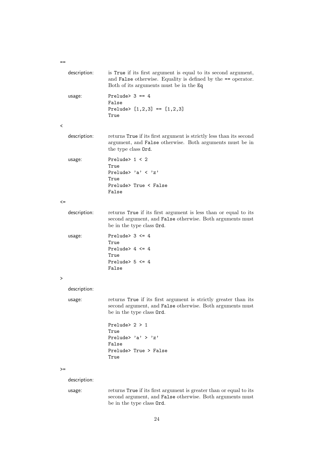description: is True if its first argument is equal to its second argument, and False otherwise. Equality is defined by the == operator. Both of its arguments must be in the Eq usage: Prelude> 3 == 4 False Prelude>  $[1,2,3] == [1,2,3]$ True  $\overline{\left( \right. }%$ description: returns True if its first argument is strictly less than its second argument, and False otherwise. Both arguments must be in the type class Ord. usage: Prelude> 1 < 2 True Prelude> 'a' < 'z' True Prelude> True < False False  $\left\langle -\right\rangle$ description: returns True if its first argument is less than or equal to its second argument, and False otherwise. Both arguments must be in the type class Ord. usage: Prelude> 3 <= 4 True Prelude> 4 <= 4 True Prelude>  $5 \leq 4$ False > description: usage: returns True if its first argument is strictly greater than its second argument, and False otherwise. Both arguments must be in the type class Ord. Prelude> 2 > 1 True Prelude> 'a' > 'z' False Prelude> True > False True  $\geq$ description: usage: returns True if its first argument is greater than or equal to its second argument, and False otherwise. Both arguments must be in the type class Ord.

 $=$ 

24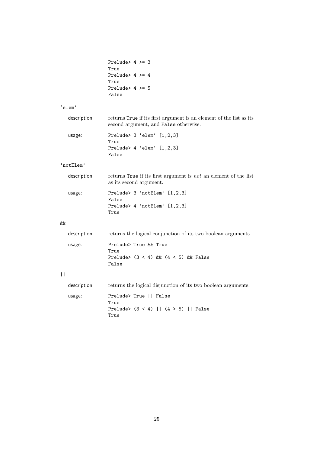| Prelude> $4 \ge 3$  |  |  |
|---------------------|--|--|
| True                |  |  |
| Prelude> $4 \geq 4$ |  |  |
| True                |  |  |
| Prelude> $4 \ge 5$  |  |  |
| False               |  |  |

True

#### 'elem'

| description: | returns True if its first argument is an element of the list as its<br>second argument, and False otherwise. |
|--------------|--------------------------------------------------------------------------------------------------------------|
| usage:       | Prelude > $3$ 'elem' $[1,2,3]$<br>True                                                                       |
|              | Prelude > $4$ 'elem' $[1,2,3]$<br>False                                                                      |

#### 'notElem'

| description: | returns True if its first argument is not an element of the list<br>as its second argument. |
|--------------|---------------------------------------------------------------------------------------------|
| usage:       | Prelude> 3 'notElem' [1,2,3]<br>False                                                       |
|              | Prelude> 4 'notElem' [1,2,3]                                                                |

#### &&

 $|$ |

| description: | returns the logical conjunction of its two boolean arguments.                        |
|--------------|--------------------------------------------------------------------------------------|
| usage:       | Prelude> True && True<br>True<br>Prelude> $(3 \lt 4)$ & $(4 \lt 5)$ & False<br>False |
| description: | returns the logical disjunction of its two boolean arguments.                        |
| usage:       | Prelude> True    False<br>True<br>Prelude> $(3 < 4)$   $(4 > 5)$   False<br>True     |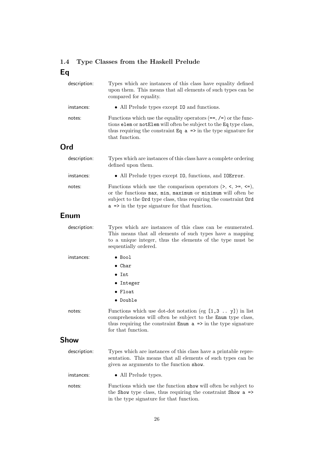## 1.4 Type Classes from the Haskell Prelude Eq

| description: | Types which are instances of this class have equality defined<br>upon them. This means that all elements of such types can be<br>compared for equality.                                                                                                              |
|--------------|----------------------------------------------------------------------------------------------------------------------------------------------------------------------------------------------------------------------------------------------------------------------|
| instances:   | • All Prelude types except 10 and functions.                                                                                                                                                                                                                         |
| notes:       | Functions which use the equality operators $(==, /=)$ or the func-<br>tions elem or notElem will often be subject to the Eq type class,<br>thus requiring the constraint $Eq a \Rightarrow$ in the type signature for<br>that function.                              |
| Ord          |                                                                                                                                                                                                                                                                      |
| description: | Types which are instances of this class have a complete ordering<br>defined upon them.                                                                                                                                                                               |
| instances:   | • All Prelude types except I0, functions, and IOError.                                                                                                                                                                                                               |
| notes:       | Functions which use the comparison operators $(\ge, \le, \ge, \le)$ ,<br>or the functions max, min, maximum or minimum will often be<br>subject to the Ord type class, thus requiring the constraint Ord<br>$a \Rightarrow$ in the type signature for that function. |
| Enum         |                                                                                                                                                                                                                                                                      |
| description: | Types which are instances of this class can be enumerated.<br>This means that all elements of such types have a mapping<br>to a unique integer, thus the elements of the type must be<br>sequentially ordered.                                                       |
| instances:   | $\bullet$ Bool                                                                                                                                                                                                                                                       |
|              | $\bullet$ Char                                                                                                                                                                                                                                                       |
|              | $\bullet$ Int                                                                                                                                                                                                                                                        |
|              | • Integer                                                                                                                                                                                                                                                            |
|              | $\bullet$ Float                                                                                                                                                                                                                                                      |
|              | • Double                                                                                                                                                                                                                                                             |
| notes:       | Functions which use dot-dot notation (eg $[1,3 \ldots y]$ ) in list<br>comprehensions will often be subject to the Enum type class,<br>thus requiring the constraint $\text{Enum } a \Rightarrow$ in the type signature<br>for that function.                        |
| <b>Show</b>  |                                                                                                                                                                                                                                                                      |
| description: | Types which are instances of this class have a printable repre-<br>sentation. This means that all elements of such types can be<br>given as arguments to the function show.                                                                                          |
| instances:   | • All Prelude types.                                                                                                                                                                                                                                                 |
| notes:       | Functions which use the function show will often be subject to<br>the Show type class, thus requiring the constraint Show $a \Rightarrow$<br>in the type signature for that function.                                                                                |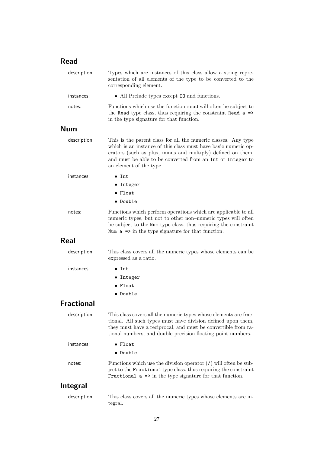## Read

| description:      | Types which are instances of this class allow a string repre-<br>sentation of all elements of the type to be converted to the<br>corresponding element.                                                                                                                                  |
|-------------------|------------------------------------------------------------------------------------------------------------------------------------------------------------------------------------------------------------------------------------------------------------------------------------------|
| instances:        | • All Prelude types except 10 and functions.                                                                                                                                                                                                                                             |
| notes:            | Functions which use the function read will often be subject to<br>the Read type class, thus requiring the constraint Read $a \Rightarrow$<br>in the type signature for that function.                                                                                                    |
| <b>Num</b>        |                                                                                                                                                                                                                                                                                          |
| description:      | This is the parent class for all the numeric classes. Any type<br>which is an instance of this class must have basic numeric op-<br>erators (such as plus, minus and multiply) defined on them,<br>and must be able to be converted from an Int or Integer to<br>an element of the type. |
| instances:        | $\bullet$ Int                                                                                                                                                                                                                                                                            |
|                   | • Integer                                                                                                                                                                                                                                                                                |
|                   | $\bullet$ Float                                                                                                                                                                                                                                                                          |
|                   | • Double                                                                                                                                                                                                                                                                                 |
| notes:            | Functions which perform operations which are applicable to all<br>numeric types, but not to other non-numeric types will often<br>be subject to the Num type class, thus requiring the constraint<br>Num $a \Rightarrow$ in the type signature for that function.                        |
| <b>Real</b>       |                                                                                                                                                                                                                                                                                          |
| description:      | This class covers all the numeric types whose elements can be<br>expressed as a ratio.                                                                                                                                                                                                   |
| instances:        | $\bullet$ Int                                                                                                                                                                                                                                                                            |
|                   | • Integer                                                                                                                                                                                                                                                                                |
|                   | $\bullet$ Float                                                                                                                                                                                                                                                                          |
|                   | • Double                                                                                                                                                                                                                                                                                 |
| <b>Fractional</b> |                                                                                                                                                                                                                                                                                          |
| description:      | This class covers all the numeric types whose elements are frac-<br>tional. All such types must have division defined upon them,<br>they must have a reciprocal, and must be convertible from ra-<br>tional numbers, and double precision floating point numbers.                        |
| instances:        | $\bullet$ Float                                                                                                                                                                                                                                                                          |
|                   | • Double                                                                                                                                                                                                                                                                                 |
| notes:            | Functions which use the division operator $\ell$ will often be sub-<br>ject to the Fractional type class, thus requiring the constraint<br>Fractional $a \Rightarrow$ in the type signature for that function.                                                                           |
| <b>Integral</b>   |                                                                                                                                                                                                                                                                                          |
| description:      | This class covers all the numeric types whose elements are in-<br>tegral.                                                                                                                                                                                                                |